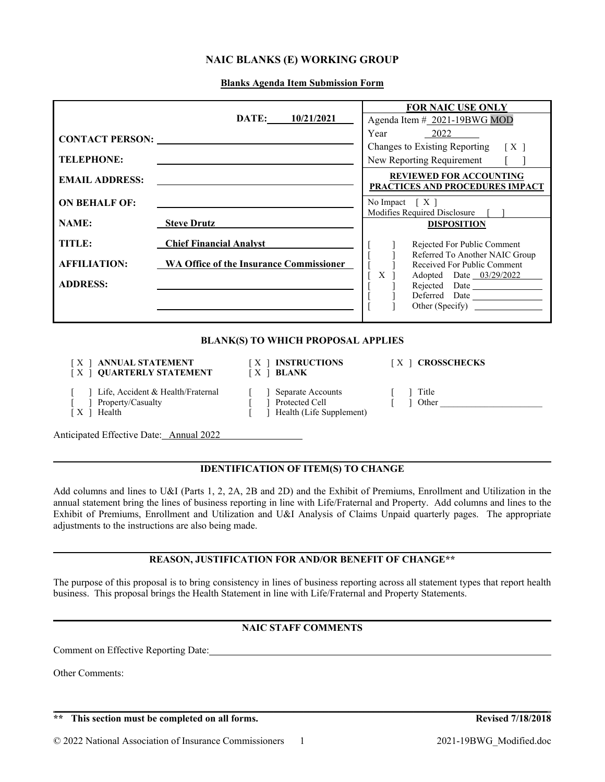# **NAIC BLANKS (E) WORKING GROUP**

**Blanks Agenda Item Submission Form**

|                                                                    |                                                |             |                                                                       | <b>FOR NAIC USE ONLY</b>                                                                      |  |  |  |
|--------------------------------------------------------------------|------------------------------------------------|-------------|-----------------------------------------------------------------------|-----------------------------------------------------------------------------------------------|--|--|--|
|                                                                    |                                                | DATE:       | 10/21/2021                                                            | Agenda Item # 2021-19BWG MOD                                                                  |  |  |  |
| <b>CONTACT PERSON:</b>                                             |                                                |             |                                                                       | Year<br>2022<br>Changes to Existing Reporting<br>$\lceil$ X $\rceil$                          |  |  |  |
| <b>TELEPHONE:</b>                                                  |                                                |             |                                                                       | New Reporting Requirement                                                                     |  |  |  |
| <b>EMAIL ADDRESS:</b>                                              |                                                |             |                                                                       | <b>REVIEWED FOR ACCOUNTING</b><br>PRACTICES AND PROCEDURES IMPACT                             |  |  |  |
| <b>ON BEHALF OF:</b>                                               |                                                |             |                                                                       | No Impact $[X]$                                                                               |  |  |  |
| <b>NAME:</b>                                                       | <b>Steve Drutz</b>                             |             |                                                                       | Modifies Required Disclosure<br><b>DISPOSITION</b>                                            |  |  |  |
| TITLE:                                                             | <b>Chief Financial Analyst</b>                 |             |                                                                       | Rejected For Public Comment                                                                   |  |  |  |
| <b>AFFILIATION:</b>                                                | <b>WA Office of the Insurance Commissioner</b> |             |                                                                       | Referred To Another NAIC Group<br>Received For Public Comment<br>X<br>Adopted Date 03/29/2022 |  |  |  |
| <b>ADDRESS:</b>                                                    |                                                |             |                                                                       | Rejected Date                                                                                 |  |  |  |
|                                                                    |                                                |             |                                                                       | Deferred Date                                                                                 |  |  |  |
|                                                                    |                                                |             |                                                                       | Other (Specify)                                                                               |  |  |  |
| <b>BLANK(S) TO WHICH PROPOSAL APPLIES</b>                          |                                                |             |                                                                       |                                                                                               |  |  |  |
| [X ] ANNUAL STATEMENT [X ] INSTRUCTIONS<br>[X] QUARTERLY STATEMENT |                                                | $[X]$ BLANK |                                                                       | $[X]$ CROSSCHECKS                                                                             |  |  |  |
| Life, Accident & Health/Fraternal                                  |                                                |             | Separate Accounts<br>$\sim$ $\sim$ $\sim$ $\sim$ $\sim$ $\sim$ $\sim$ | Title                                                                                         |  |  |  |

- 
- 
- [ ] Property/Casualty [ ] Protected Cell [ ] Other [ ] Other [ ]  $K$  ] Health (Life Supplement)  $\overline{\phantom{a}}$  Health (Life Supplement)
	-

Anticipated Effective Date: Annual 2022

# **IDENTIFICATION OF ITEM(S) TO CHANGE**

Add columns and lines to U&I (Parts 1, 2, 2A, 2B and 2D) and the Exhibit of Premiums, Enrollment and Utilization in the annual statement bring the lines of business reporting in line with Life/Fraternal and Property. Add columns and lines to the Exhibit of Premiums, Enrollment and Utilization and U&I Analysis of Claims Unpaid quarterly pages. The appropriate adjustments to the instructions are also being made.

# **REASON, JUSTIFICATION FOR AND/OR BENEFIT OF CHANGE\*\***

The purpose of this proposal is to bring consistency in lines of business reporting across all statement types that report health business. This proposal brings the Health Statement in line with Life/Fraternal and Property Statements.

## **NAIC STAFF COMMENTS**

\_\_\_\_\_\_\_\_\_\_\_\_\_\_\_\_\_\_\_\_\_\_\_\_\_\_\_\_\_\_\_\_\_\_\_\_\_\_\_\_\_\_\_\_\_\_\_\_\_\_\_\_\_\_\_\_\_\_\_\_\_\_\_\_\_\_\_\_\_\_\_\_\_\_\_\_\_\_\_\_\_\_\_\_\_\_\_\_\_\_\_\_\_\_\_\_\_\_\_

Comment on Effective Reporting Date:

Other Comments:

# **\*\* This section must be completed on all forms. Revised 7/18/2018**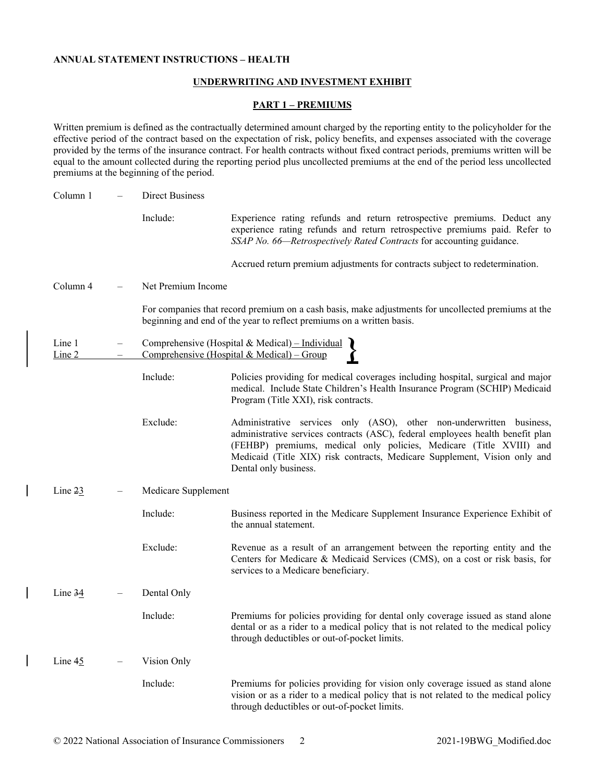#### **ANNUAL STATEMENT INSTRUCTIONS – HEALTH**

# **UNDERWRITING AND INVESTMENT EXHIBIT**

#### **PART 1 – PREMIUMS**

Written premium is defined as the contractually determined amount charged by the reporting entity to the policyholder for the effective period of the contract based on the expectation of risk, policy benefits, and expenses associated with the coverage provided by the terms of the insurance contract. For health contracts without fixed contract periods, premiums written will be equal to the amount collected during the reporting period plus uncollected premiums at the end of the period less uncollected premiums at the beginning of the period.

| Column 1         | <b>Direct Business</b> |                                                                                                                                                                                                                                                                                                                                     |
|------------------|------------------------|-------------------------------------------------------------------------------------------------------------------------------------------------------------------------------------------------------------------------------------------------------------------------------------------------------------------------------------|
|                  | Include:               | Experience rating refunds and return retrospective premiums. Deduct any<br>experience rating refunds and return retrospective premiums paid. Refer to<br>SSAP No. 66-Retrospectively Rated Contracts for accounting guidance.                                                                                                       |
|                  |                        | Accrued return premium adjustments for contracts subject to redetermination.                                                                                                                                                                                                                                                        |
| Column 4         | Net Premium Income     |                                                                                                                                                                                                                                                                                                                                     |
|                  |                        | For companies that record premium on a cash basis, make adjustments for uncollected premiums at the<br>beginning and end of the year to reflect premiums on a written basis.                                                                                                                                                        |
| Line 1<br>Line 2 |                        | Comprehensive (Hospital & Medical) - Individual<br>Comprehensive (Hospital & Medical) - Group                                                                                                                                                                                                                                       |
|                  | Include:               | Policies providing for medical coverages including hospital, surgical and major<br>medical. Include State Children's Health Insurance Program (SCHIP) Medicaid<br>Program (Title XXI), risk contracts.                                                                                                                              |
|                  | Exclude:               | Administrative services only (ASO), other non-underwritten business,<br>administrative services contracts (ASC), federal employees health benefit plan<br>(FEHBP) premiums, medical only policies, Medicare (Title XVIII) and<br>Medicaid (Title XIX) risk contracts, Medicare Supplement, Vision only and<br>Dental only business. |
| Line $23$        | Medicare Supplement    |                                                                                                                                                                                                                                                                                                                                     |
|                  | Include:               | Business reported in the Medicare Supplement Insurance Experience Exhibit of<br>the annual statement.                                                                                                                                                                                                                               |
|                  | Exclude:               | Revenue as a result of an arrangement between the reporting entity and the<br>Centers for Medicare & Medicaid Services (CMS), on a cost or risk basis, for<br>services to a Medicare beneficiary.                                                                                                                                   |
| Line $34$        | Dental Only            |                                                                                                                                                                                                                                                                                                                                     |
|                  | Include:               | Premiums for policies providing for dental only coverage issued as stand alone<br>dental or as a rider to a medical policy that is not related to the medical policy<br>through deductibles or out-of-pocket limits.                                                                                                                |
| Line 45          | Vision Only            |                                                                                                                                                                                                                                                                                                                                     |
|                  | Include:               | Premiums for policies providing for vision only coverage issued as stand alone<br>vision or as a rider to a medical policy that is not related to the medical policy<br>through deductibles or out-of-pocket limits.                                                                                                                |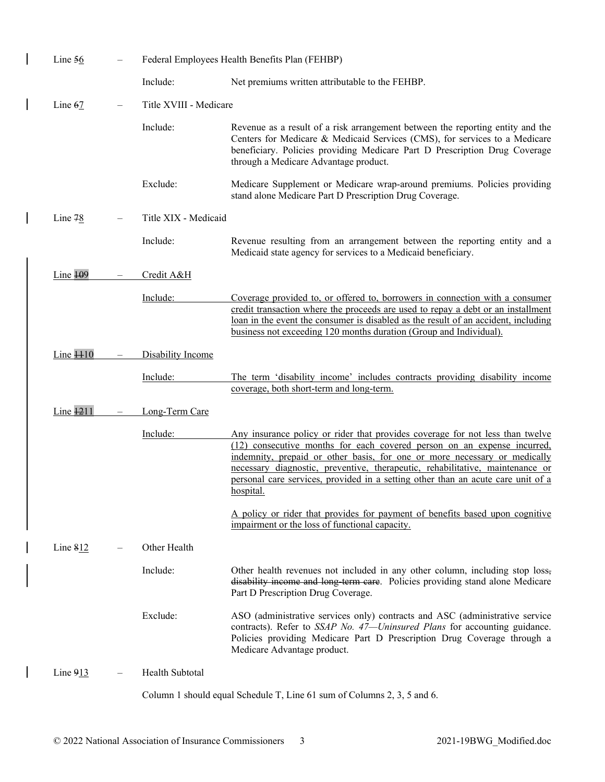| Line $56$             |                          |                        | Federal Employees Health Benefits Plan (FEHBP)                                                                                                                                                                                                                                                                                                                                                                          |
|-----------------------|--------------------------|------------------------|-------------------------------------------------------------------------------------------------------------------------------------------------------------------------------------------------------------------------------------------------------------------------------------------------------------------------------------------------------------------------------------------------------------------------|
|                       |                          | Include:               | Net premiums written attributable to the FEHBP.                                                                                                                                                                                                                                                                                                                                                                         |
| Line $67$             | $\overline{\phantom{m}}$ | Title XVIII - Medicare |                                                                                                                                                                                                                                                                                                                                                                                                                         |
|                       |                          | Include:               | Revenue as a result of a risk arrangement between the reporting entity and the<br>Centers for Medicare & Medicaid Services (CMS), for services to a Medicare<br>beneficiary. Policies providing Medicare Part D Prescription Drug Coverage<br>through a Medicare Advantage product.                                                                                                                                     |
|                       |                          | Exclude:               | Medicare Supplement or Medicare wrap-around premiums. Policies providing<br>stand alone Medicare Part D Prescription Drug Coverage.                                                                                                                                                                                                                                                                                     |
| Line $78$             |                          | Title XIX - Medicaid   |                                                                                                                                                                                                                                                                                                                                                                                                                         |
|                       |                          | Include:               | Revenue resulting from an arrangement between the reporting entity and a<br>Medicaid state agency for services to a Medicaid beneficiary.                                                                                                                                                                                                                                                                               |
| Line $\frac{109}{2}$  |                          | Credit A&H             |                                                                                                                                                                                                                                                                                                                                                                                                                         |
|                       |                          | Include:               | Coverage provided to, or offered to, borrowers in connection with a consumer<br>credit transaction where the proceeds are used to repay a debt or an installment<br>loan in the event the consumer is disabled as the result of an accident, including<br>business not exceeding 120 months duration (Group and Individual).                                                                                            |
| Line $\overline{110}$ |                          | Disability Income      |                                                                                                                                                                                                                                                                                                                                                                                                                         |
|                       |                          | Include:               | The term 'disability income' includes contracts providing disability income<br>coverage, both short-term and long-term.                                                                                                                                                                                                                                                                                                 |
| Line $\frac{1211}{2}$ |                          | Long-Term Care         |                                                                                                                                                                                                                                                                                                                                                                                                                         |
|                       |                          | Include:               | Any insurance policy or rider that provides coverage for not less than twelve<br>(12) consecutive months for each covered person on an expense incurred,<br>indemnity, prepaid or other basis, for one or more necessary or medically<br>necessary diagnostic, preventive, therapeutic, rehabilitative, maintenance or<br>personal care services, provided in a setting other than an acute care unit of a<br>hospital. |
|                       |                          |                        | A policy or rider that provides for payment of benefits based upon cognitive<br>impairment or the loss of functional capacity.                                                                                                                                                                                                                                                                                          |
| Line $812$            |                          | Other Health           |                                                                                                                                                                                                                                                                                                                                                                                                                         |
|                       |                          | Include:               | Other health revenues not included in any other column, including stop loss,<br>disability income and long-term care. Policies providing stand alone Medicare<br>Part D Prescription Drug Coverage.                                                                                                                                                                                                                     |
|                       |                          | Exclude:               | ASO (administrative services only) contracts and ASC (administrative service<br>contracts). Refer to SSAP No. 47-Uninsured Plans for accounting guidance.<br>Policies providing Medicare Part D Prescription Drug Coverage through a<br>Medicare Advantage product.                                                                                                                                                     |
| Line 913              |                          | Health Subtotal        |                                                                                                                                                                                                                                                                                                                                                                                                                         |
|                       |                          |                        | Column 1 should equal Schedule T, Line 61 sum of Columns 2, 3, 5 and 6.                                                                                                                                                                                                                                                                                                                                                 |

 $\overline{\phantom{a}}$ 

 $\overline{\phantom{a}}$ 

 $\overline{\phantom{a}}$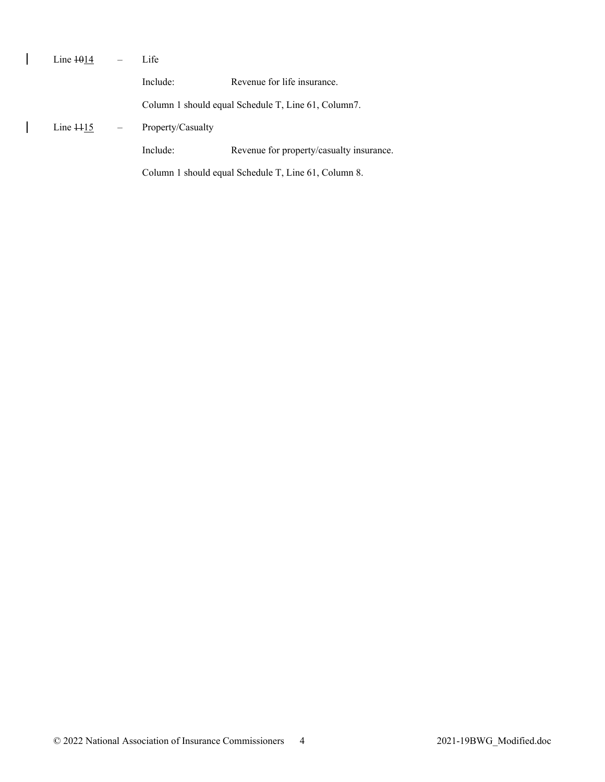| Line $\frac{1014}{}$ | Life                                                 |                                          |  |  |  |
|----------------------|------------------------------------------------------|------------------------------------------|--|--|--|
|                      | Include:                                             | Revenue for life insurance.              |  |  |  |
|                      | Column 1 should equal Schedule T, Line 61, Column7.  |                                          |  |  |  |
| Line $115$           | Property/Casualty                                    |                                          |  |  |  |
|                      | Include:                                             | Revenue for property/casualty insurance. |  |  |  |
|                      | Column 1 should equal Schedule T, Line 61, Column 8. |                                          |  |  |  |

 $\overline{\phantom{a}}$ 

 $\overline{1}$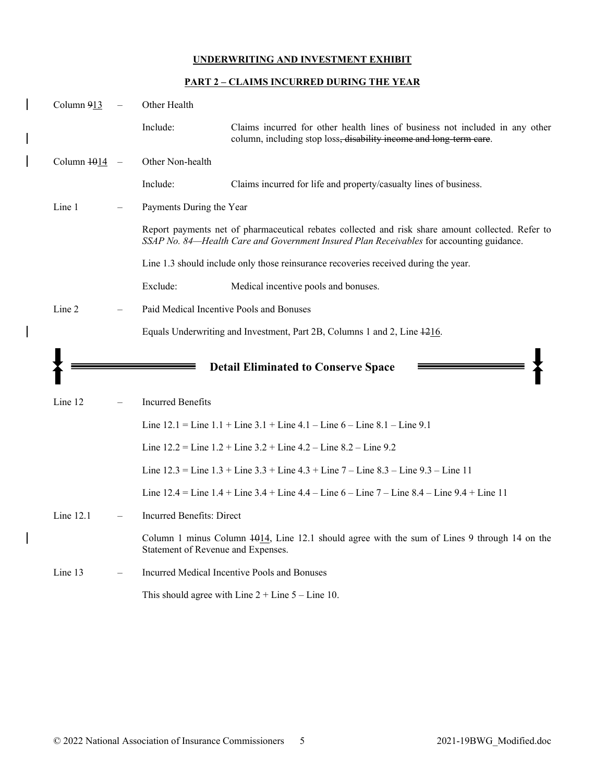# **PART 2 – CLAIMS INCURRED DURING THE YEAR**

| Column 913  | Other Health                       |                                                                                                                                                                                               |
|-------------|------------------------------------|-----------------------------------------------------------------------------------------------------------------------------------------------------------------------------------------------|
|             | Include:                           | Claims incurred for other health lines of business not included in any other<br>column, including stop loss, disability income and long-term care.                                            |
| Column 1014 | Other Non-health                   |                                                                                                                                                                                               |
|             | Include:                           | Claims incurred for life and property/casualty lines of business.                                                                                                                             |
| Line 1      | Payments During the Year           |                                                                                                                                                                                               |
|             |                                    | Report payments net of pharmaceutical rebates collected and risk share amount collected. Refer to<br>SSAP No. 84-Health Care and Government Insured Plan Receivables for accounting guidance. |
|             |                                    | Line 1.3 should include only those reinsurance recoveries received during the year.                                                                                                           |
|             | Exclude:                           | Medical incentive pools and bonuses.                                                                                                                                                          |
| Line 2      |                                    | Paid Medical Incentive Pools and Bonuses                                                                                                                                                      |
|             |                                    | Equals Underwriting and Investment, Part 2B, Columns 1 and 2, Line 1216.                                                                                                                      |
|             |                                    |                                                                                                                                                                                               |
|             |                                    | <b>Detail Eliminated to Conserve Space</b>                                                                                                                                                    |
| Line 12     | <b>Incurred Benefits</b>           |                                                                                                                                                                                               |
|             |                                    | Line $12.1$ = Line $1.1$ + Line $3.1$ + Line $4.1$ – Line $6$ – Line $8.1$ – Line $9.1$                                                                                                       |
|             |                                    | Line $12.2$ = Line $1.2$ + Line $3.2$ + Line $4.2$ – Line $8.2$ – Line $9.2$                                                                                                                  |
|             |                                    | Line $12.3$ = Line $1.3$ + Line $3.3$ + Line $4.3$ + Line $7$ – Line $8.3$ – Line $9.3$ – Line 11                                                                                             |
|             |                                    | Line $12.4$ = Line $1.4$ + Line $3.4$ + Line $4.4$ – Line $6$ – Line $7$ – Line $8.4$ – Line $9.4$ + Line $11$                                                                                |
| Line 12.1   | Incurred Benefits: Direct          |                                                                                                                                                                                               |
|             | Statement of Revenue and Expenses. | Column 1 minus Column $\frac{1014}{100}$ , Line 12.1 should agree with the sum of Lines 9 through 14 on the                                                                                   |
| Line 13     |                                    | Incurred Medical Incentive Pools and Bonuses                                                                                                                                                  |

 $\overline{\phantom{a}}$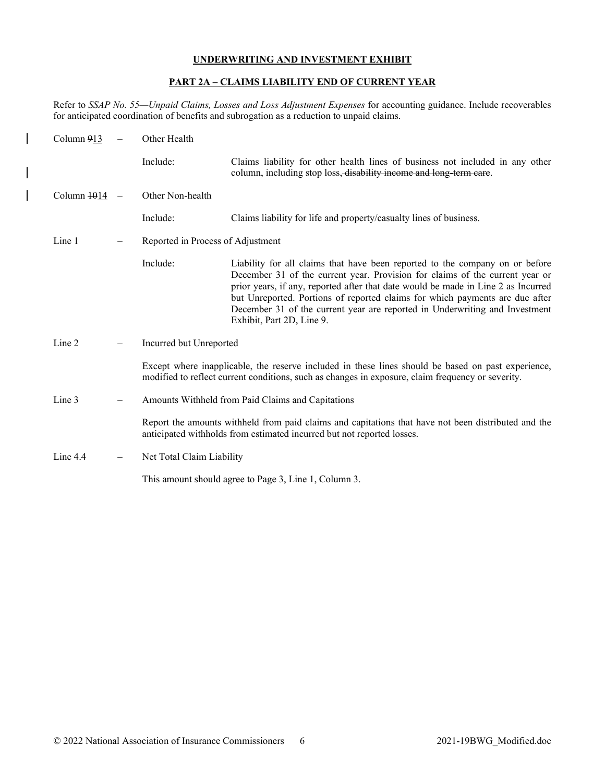## **PART 2A – CLAIMS LIABILITY END OF CURRENT YEAR**

Refer to *SSAP No. 55—Unpaid Claims, Losses and Loss Adjustment Expenses* for accounting guidance. Include recoverables for anticipated coordination of benefits and subrogation as a reduction to unpaid claims.

| Column 913  | Other Health                      |                                                                                                                                                                                                                                                                                                                                                                                                                                               |  |  |  |  |  |
|-------------|-----------------------------------|-----------------------------------------------------------------------------------------------------------------------------------------------------------------------------------------------------------------------------------------------------------------------------------------------------------------------------------------------------------------------------------------------------------------------------------------------|--|--|--|--|--|
|             | Include:                          | Claims liability for other health lines of business not included in any other<br>column, including stop loss, disability income and long-term care.                                                                                                                                                                                                                                                                                           |  |  |  |  |  |
| Column 1014 | Other Non-health                  |                                                                                                                                                                                                                                                                                                                                                                                                                                               |  |  |  |  |  |
|             | Include:                          | Claims liability for life and property/casualty lines of business.                                                                                                                                                                                                                                                                                                                                                                            |  |  |  |  |  |
| Line 1      | Reported in Process of Adjustment |                                                                                                                                                                                                                                                                                                                                                                                                                                               |  |  |  |  |  |
|             | Include:                          | Liability for all claims that have been reported to the company on or before<br>December 31 of the current year. Provision for claims of the current year or<br>prior years, if any, reported after that date would be made in Line 2 as Incurred<br>but Unreported. Portions of reported claims for which payments are due after<br>December 31 of the current year are reported in Underwriting and Investment<br>Exhibit, Part 2D, Line 9. |  |  |  |  |  |
| Line 2      | Incurred but Unreported           |                                                                                                                                                                                                                                                                                                                                                                                                                                               |  |  |  |  |  |
|             |                                   | Except where inapplicable, the reserve included in these lines should be based on past experience,<br>modified to reflect current conditions, such as changes in exposure, claim frequency or severity.                                                                                                                                                                                                                                       |  |  |  |  |  |
| Line 3      |                                   | Amounts Withheld from Paid Claims and Capitations                                                                                                                                                                                                                                                                                                                                                                                             |  |  |  |  |  |
|             |                                   | Report the amounts withheld from paid claims and capitations that have not been distributed and the<br>anticipated withholds from estimated incurred but not reported losses.                                                                                                                                                                                                                                                                 |  |  |  |  |  |
| Line $4.4$  | Net Total Claim Liability         |                                                                                                                                                                                                                                                                                                                                                                                                                                               |  |  |  |  |  |
|             |                                   | This amount should agree to Page 3, Line 1, Column 3.                                                                                                                                                                                                                                                                                                                                                                                         |  |  |  |  |  |

 $\overline{\phantom{a}}$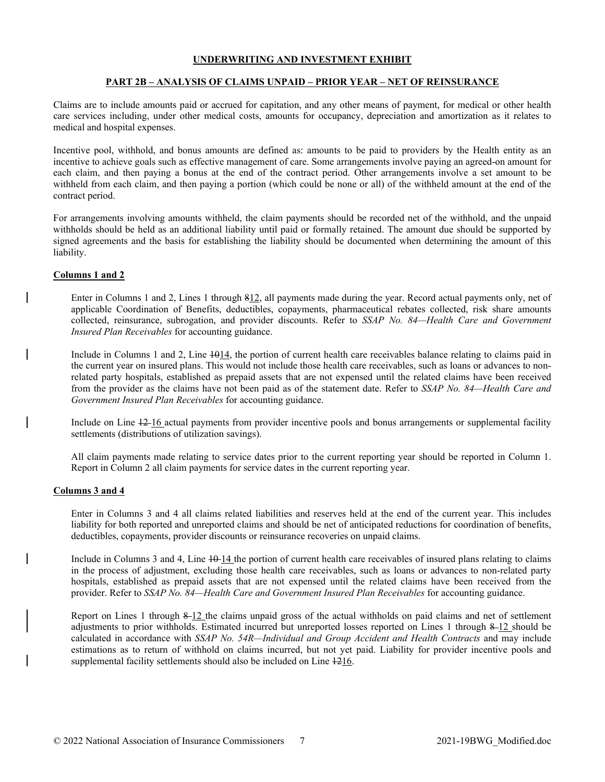## **PART 2B – ANALYSIS OF CLAIMS UNPAID – PRIOR YEAR – NET OF REINSURANCE**

Claims are to include amounts paid or accrued for capitation, and any other means of payment, for medical or other health care services including, under other medical costs, amounts for occupancy, depreciation and amortization as it relates to medical and hospital expenses.

Incentive pool, withhold, and bonus amounts are defined as: amounts to be paid to providers by the Health entity as an incentive to achieve goals such as effective management of care. Some arrangements involve paying an agreed-on amount for each claim, and then paying a bonus at the end of the contract period. Other arrangements involve a set amount to be withheld from each claim, and then paying a portion (which could be none or all) of the withheld amount at the end of the contract period.

For arrangements involving amounts withheld, the claim payments should be recorded net of the withhold, and the unpaid withholds should be held as an additional liability until paid or formally retained. The amount due should be supported by signed agreements and the basis for establishing the liability should be documented when determining the amount of this liability.

## **Columns 1 and 2**

Enter in Columns 1 and 2, Lines 1 through 812, all payments made during the year. Record actual payments only, net of applicable Coordination of Benefits, deductibles, copayments, pharmaceutical rebates collected, risk share amounts collected, reinsurance, subrogation, and provider discounts. Refer to *SSAP No. 84—Health Care and Government Insured Plan Receivables* for accounting guidance.

Include in Columns 1 and 2, Line 1014, the portion of current health care receivables balance relating to claims paid in the current year on insured plans. This would not include those health care receivables, such as loans or advances to nonrelated party hospitals, established as prepaid assets that are not expensed until the related claims have been received from the provider as the claims have not been paid as of the statement date. Refer to *SSAP No. 84—Health Care and Government Insured Plan Receivables* for accounting guidance.

Include on Line 12 16 actual payments from provider incentive pools and bonus arrangements or supplemental facility settlements (distributions of utilization savings).

All claim payments made relating to service dates prior to the current reporting year should be reported in Column 1. Report in Column 2 all claim payments for service dates in the current reporting year.

## **Columns 3 and 4**

Enter in Columns 3 and 4 all claims related liabilities and reserves held at the end of the current year. This includes liability for both reported and unreported claims and should be net of anticipated reductions for coordination of benefits, deductibles, copayments, provider discounts or reinsurance recoveries on unpaid claims.

Include in Columns 3 and 4, Line  $\frac{10 \text{ }}{4}$  the portion of current health care receivables of insured plans relating to claims in the process of adjustment, excluding those health care receivables, such as loans or advances to non-related party hospitals, established as prepaid assets that are not expensed until the related claims have been received from the provider. Refer to *SSAP No. 84—Health Care and Government Insured Plan Receivables* for accounting guidance.

Report on Lines 1 through 8-12 the claims unpaid gross of the actual withholds on paid claims and net of settlement adjustments to prior withholds. Estimated incurred but unreported losses reported on Lines 1 through 8-12 should be calculated in accordance with *SSAP No. 54R—Individual and Group Accident and Health Contracts* and may include estimations as to return of withhold on claims incurred, but not yet paid. Liability for provider incentive pools and supplemental facility settlements should also be included on Line 1216.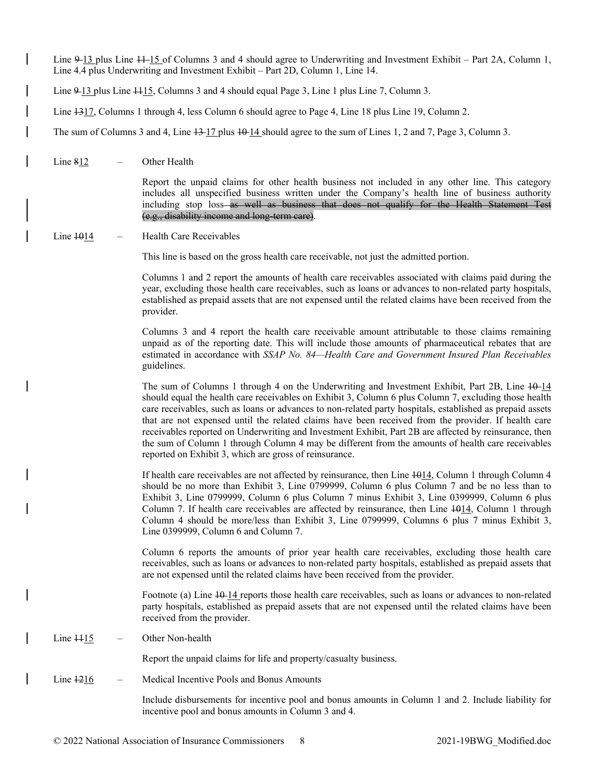Line  $9-13$  plus Line  $11-15$  of Columns 3 and 4 should agree to Underwriting and Investment Exhibit – Part 2A, Column 1, Line 4.4 plus Underwriting and Investment Exhibit – Part 2D, Column 1, Line 14.

Line  $9-13$  plus Line  $115$ , Columns 3 and 4 should equal Page 3, Line 1 plus Line 7, Column 3.

Line  $1317$ , Columns 1 through 4, less Column 6 should agree to Page 4, Line 18 plus Line 19, Column 2.

The sum of Columns 3 and 4, Line  $\frac{13}{17}$  plus  $\frac{10}{14}$  should agree to the sum of Lines 1, 2 and 7, Page 3, Column 3.

Line  $812$  – Other Health

Report the unpaid claims for other health business not included in any other line. This category includes all unspecified business written under the Company's health line of business authority including stop loss—as well as business that does not qualify for the Health Statement Test (e.g., disability income and long-term care).

#### $Line$   $+014$  – Health Care Receivables

This line is based on the gross health care receivable, not just the admitted portion.

Columns 1 and 2 report the amounts of health care receivables associated with claims paid during the year, excluding those health care receivables, such as loans or advances to non-related party hospitals, established as prepaid assets that are not expensed until the related claims have been received from the provider.

Columns 3 and 4 report the health care receivable amount attributable to those claims remaining unpaid as of the reporting date. This will include those amounts of pharmaceutical rebates that are estimated in accordance with *SSAP No. 84—Health Care and Government Insured Plan Receivables* guidelines.

The sum of Columns 1 through 4 on the Underwriting and Investment Exhibit, Part 2B, Line  $10-14$ should equal the health care receivables on Exhibit 3, Column 6 plus Column 7, excluding those health care receivables, such as loans or advances to non-related party hospitals, established as prepaid assets that are not expensed until the related claims have been received from the provider. If health care receivables reported on Underwriting and Investment Exhibit, Part 2B are affected by reinsurance, then the sum of Column 1 through Column 4 may be different from the amounts of health care receivables reported on Exhibit 3, which are gross of reinsurance.

If health care receivables are not affected by reinsurance, then Line 1014, Column 1 through Column 4 should be no more than Exhibit 3, Line 0799999, Column 6 plus Column 7 and be no less than to Exhibit 3, Line 0799999, Column 6 plus Column 7 minus Exhibit 3, Line 0399999, Column 6 plus Column 7. If health care receivables are affected by reinsurance, then Line  $1014$ , Column 1 through Column 4 should be more/less than Exhibit 3, Line 0799999, Columns 6 plus 7 minus Exhibit 3, Line 0399999, Column 6 and Column 7.

Column 6 reports the amounts of prior year health care receivables, excluding those health care receivables, such as loans or advances to non-related party hospitals, established as prepaid assets that are not expensed until the related claims have been received from the provider.

Footnote (a) Line  $14$ -14 reports those health care receivables, such as loans or advances to non-related party hospitals, established as prepaid assets that are not expensed until the related claims have been received from the provider.

Line  $\frac{1115}{ }$  – Other Non-health

Report the unpaid claims for life and property/casualty business.

Line  $\frac{1216}{ }$  - Medical Incentive Pools and Bonus Amounts

Include disbursements for incentive pool and bonus amounts in Column 1 and 2. Include liability for incentive pool and bonus amounts in Column 3 and 4.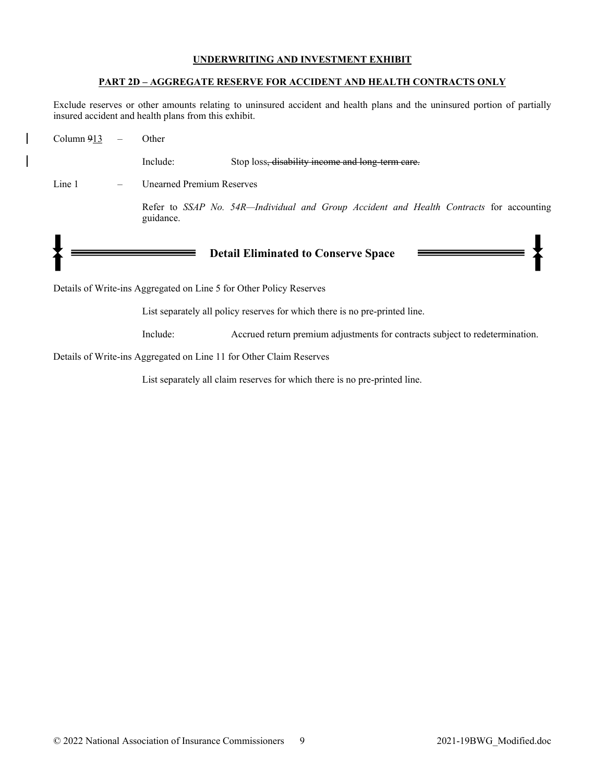## **PART 2D – AGGREGATE RESERVE FOR ACCIDENT AND HEALTH CONTRACTS ONLY**

Exclude reserves or other amounts relating to uninsured accident and health plans and the uninsured portion of partially insured accident and health plans from this exhibit.

| Column 913 | Other                            |                                                                                         |
|------------|----------------------------------|-----------------------------------------------------------------------------------------|
|            | Include:                         | Stop loss, disability income and long term care.                                        |
| Line 1     | <b>Unearned Premium Reserves</b> |                                                                                         |
|            | guidance.                        | Refer to SSAP No. 54R-Individual and Group Accident and Health Contracts for accounting |
|            |                                  | <b>Detail Eliminated to Conserve Space</b>                                              |

Details of Write-ins Aggregated on Line 5 for Other Policy Reserves

List separately all policy reserves for which there is no pre-printed line.

Include: Accrued return premium adjustments for contracts subject to redetermination.

Details of Write-ins Aggregated on Line 11 for Other Claim Reserves

List separately all claim reserves for which there is no pre-printed line.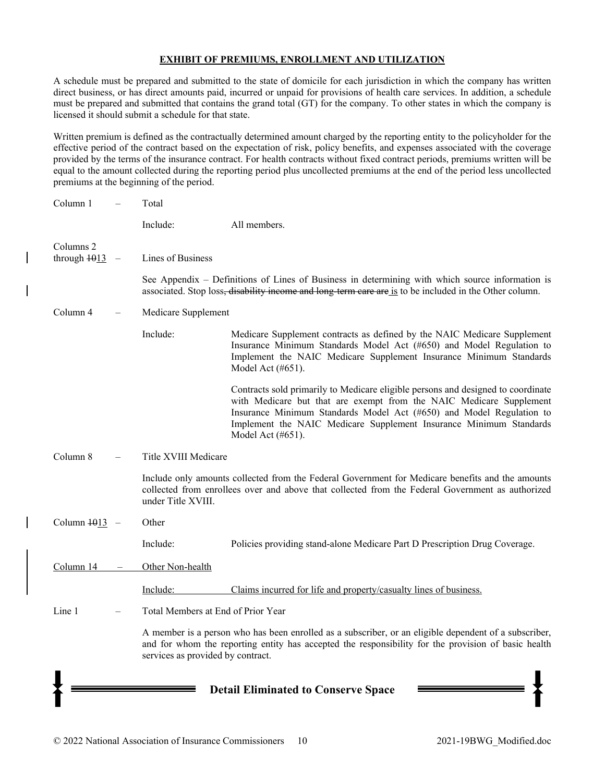## **EXHIBIT OF PREMIUMS, ENROLLMENT AND UTILIZATION**

A schedule must be prepared and submitted to the state of domicile for each jurisdiction in which the company has written direct business, or has direct amounts paid, incurred or unpaid for provisions of health care services. In addition, a schedule must be prepared and submitted that contains the grand total (GT) for the company. To other states in which the company is licensed it should submit a schedule for that state.

Written premium is defined as the contractually determined amount charged by the reporting entity to the policyholder for the effective period of the contract based on the expectation of risk, policy benefits, and expenses associated with the coverage provided by the terms of the insurance contract. For health contracts without fixed contract periods, premiums written will be equal to the amount collected during the reporting period plus uncollected premiums at the end of the period less uncollected premiums at the beginning of the period.

| Column 1        | Total                              |                                                                                                                                                                                                                                                                                                                            |
|-----------------|------------------------------------|----------------------------------------------------------------------------------------------------------------------------------------------------------------------------------------------------------------------------------------------------------------------------------------------------------------------------|
|                 | Include:                           | All members.                                                                                                                                                                                                                                                                                                               |
| Columns 2       |                                    |                                                                                                                                                                                                                                                                                                                            |
| through $1013$  | Lines of Business                  |                                                                                                                                                                                                                                                                                                                            |
|                 |                                    | See Appendix – Definitions of Lines of Business in determining with which source information is<br>associated. Stop loss, disability income and long term care are is to be included in the Other column.                                                                                                                  |
| Column 4        | Medicare Supplement                |                                                                                                                                                                                                                                                                                                                            |
|                 | Include:                           | Medicare Supplement contracts as defined by the NAIC Medicare Supplement<br>Insurance Minimum Standards Model Act (#650) and Model Regulation to<br>Implement the NAIC Medicare Supplement Insurance Minimum Standards<br>Model Act (#651).                                                                                |
|                 |                                    | Contracts sold primarily to Medicare eligible persons and designed to coordinate<br>with Medicare but that are exempt from the NAIC Medicare Supplement<br>Insurance Minimum Standards Model Act (#650) and Model Regulation to<br>Implement the NAIC Medicare Supplement Insurance Minimum Standards<br>Model Act (#651). |
| Column 8        | Title XVIII Medicare               |                                                                                                                                                                                                                                                                                                                            |
|                 | under Title XVIII.                 | Include only amounts collected from the Federal Government for Medicare benefits and the amounts<br>collected from enrollees over and above that collected from the Federal Government as authorized                                                                                                                       |
| Column $1013 -$ | Other                              |                                                                                                                                                                                                                                                                                                                            |
|                 | Include:                           | Policies providing stand-alone Medicare Part D Prescription Drug Coverage.                                                                                                                                                                                                                                                 |
| Column 14       | Other Non-health                   |                                                                                                                                                                                                                                                                                                                            |
|                 | Include:                           | Claims incurred for life and property/casualty lines of business.                                                                                                                                                                                                                                                          |
| Line 1          | Total Members at End of Prior Year |                                                                                                                                                                                                                                                                                                                            |
|                 | services as provided by contract.  | A member is a person who has been enrolled as a subscriber, or an eligible dependent of a subscriber,<br>and for whom the reporting entity has accepted the responsibility for the provision of basic health                                                                                                               |
|                 |                                    | <b>Detail Eliminated to Conserve Space</b>                                                                                                                                                                                                                                                                                 |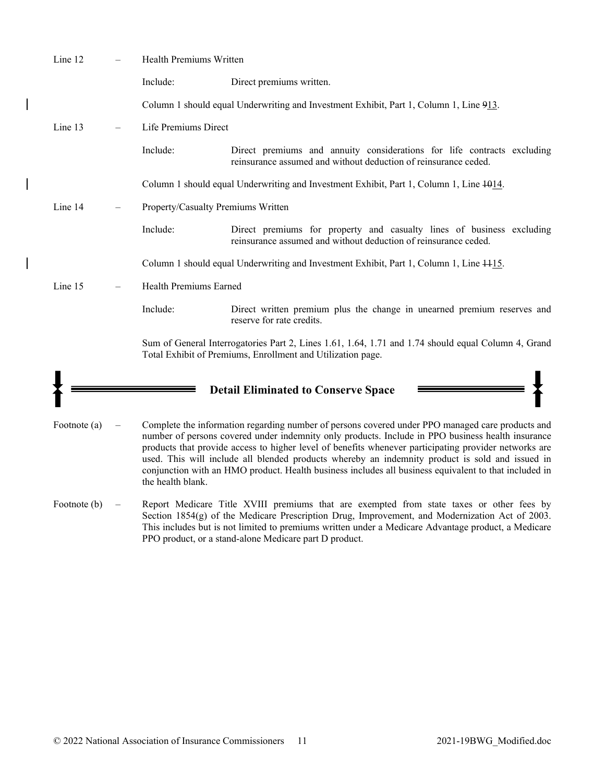| Line 12      | Health Premiums Written            |                                                                                                                                                                                                                                                                                                                                                                                                                                                                                                                            |
|--------------|------------------------------------|----------------------------------------------------------------------------------------------------------------------------------------------------------------------------------------------------------------------------------------------------------------------------------------------------------------------------------------------------------------------------------------------------------------------------------------------------------------------------------------------------------------------------|
|              | Include:                           | Direct premiums written.                                                                                                                                                                                                                                                                                                                                                                                                                                                                                                   |
|              |                                    | Column 1 should equal Underwriting and Investment Exhibit, Part 1, Column 1, Line 913.                                                                                                                                                                                                                                                                                                                                                                                                                                     |
| Line 13      | Life Premiums Direct               |                                                                                                                                                                                                                                                                                                                                                                                                                                                                                                                            |
|              | Include:                           | Direct premiums and annuity considerations for life contracts excluding<br>reinsurance assumed and without deduction of reinsurance ceded.                                                                                                                                                                                                                                                                                                                                                                                 |
|              |                                    | Column 1 should equal Underwriting and Investment Exhibit, Part 1, Column 1, Line $\frac{1014}{100}$ .                                                                                                                                                                                                                                                                                                                                                                                                                     |
| Line 14      | Property/Casualty Premiums Written |                                                                                                                                                                                                                                                                                                                                                                                                                                                                                                                            |
|              | Include:                           | Direct premiums for property and casualty lines of business excluding<br>reinsurance assumed and without deduction of reinsurance ceded.                                                                                                                                                                                                                                                                                                                                                                                   |
|              |                                    | Column 1 should equal Underwriting and Investment Exhibit, Part 1, Column 1, Line 4415.                                                                                                                                                                                                                                                                                                                                                                                                                                    |
| Line 15      | Health Premiums Earned             |                                                                                                                                                                                                                                                                                                                                                                                                                                                                                                                            |
|              | Include:                           | Direct written premium plus the change in unearned premium reserves and<br>reserve for rate credits.                                                                                                                                                                                                                                                                                                                                                                                                                       |
|              |                                    | Sum of General Interrogatories Part 2, Lines 1.61, 1.64, 1.71 and 1.74 should equal Column 4, Grand<br>Total Exhibit of Premiums, Enrollment and Utilization page.                                                                                                                                                                                                                                                                                                                                                         |
|              |                                    |                                                                                                                                                                                                                                                                                                                                                                                                                                                                                                                            |
|              |                                    | <b>Detail Eliminated to Conserve Space</b>                                                                                                                                                                                                                                                                                                                                                                                                                                                                                 |
| Footnote (a) | the health blank.                  | Complete the information regarding number of persons covered under PPO managed care products and<br>number of persons covered under indemnity only products. Include in PPO business health insurance<br>products that provide access to higher level of benefits whenever participating provider networks are<br>used. This will include all blended products whereby an indemnity product is sold and issued in<br>conjunction with an HMO product. Health business includes all business equivalent to that included in |
| Footnote (b) |                                    | Report Medicare Title XVIII premiums that are exempted from state taxes or other fees by<br>Section $1854(g)$ of the Medicare Prescription Drug, Improvement, and Modernization Act of 2003.<br>This includes but is not limited to premiums written under a Medicare Advantage product, a Medicare<br>PPO product, or a stand-alone Medicare part D product.                                                                                                                                                              |

 $\overline{\phantom{a}}$ 

 $\overline{1}$ 

 $\overline{\phantom{a}}$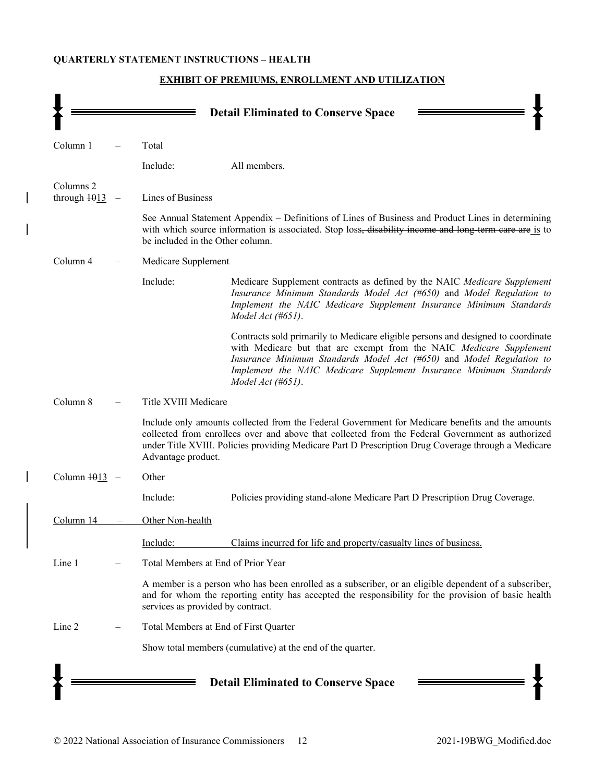# **QUARTERLY STATEMENT INSTRUCTIONS – HEALTH**

|                                                  |                                       | <b>Detail Eliminated to Conserve Space</b>                                                                                                                                                                                                                                                                                     |  |  |  |  |
|--------------------------------------------------|---------------------------------------|--------------------------------------------------------------------------------------------------------------------------------------------------------------------------------------------------------------------------------------------------------------------------------------------------------------------------------|--|--|--|--|
| Column 1                                         | Total                                 |                                                                                                                                                                                                                                                                                                                                |  |  |  |  |
|                                                  | Include:                              | All members.                                                                                                                                                                                                                                                                                                                   |  |  |  |  |
| Columns <sub>2</sub><br>through $\frac{1013}{2}$ | Lines of Business                     |                                                                                                                                                                                                                                                                                                                                |  |  |  |  |
|                                                  | be included in the Other column.      | See Annual Statement Appendix – Definitions of Lines of Business and Product Lines in determining<br>with which source information is associated. Stop loss, disability income and long term care are is to                                                                                                                    |  |  |  |  |
| Column 4                                         | Medicare Supplement                   |                                                                                                                                                                                                                                                                                                                                |  |  |  |  |
|                                                  | Include:                              | Medicare Supplement contracts as defined by the NAIC Medicare Supplement<br>Insurance Minimum Standards Model Act (#650) and Model Regulation to<br>Implement the NAIC Medicare Supplement Insurance Minimum Standards<br>Model Act (#651).                                                                                    |  |  |  |  |
|                                                  |                                       | Contracts sold primarily to Medicare eligible persons and designed to coordinate<br>with Medicare but that are exempt from the NAIC Medicare Supplement<br>Insurance Minimum Standards Model Act (#650) and Model Regulation to<br>Implement the NAIC Medicare Supplement Insurance Minimum Standards<br>Model Act $(\#651)$ . |  |  |  |  |
| Column 8                                         | Title XVIII Medicare                  |                                                                                                                                                                                                                                                                                                                                |  |  |  |  |
|                                                  | Advantage product.                    | Include only amounts collected from the Federal Government for Medicare benefits and the amounts<br>collected from enrollees over and above that collected from the Federal Government as authorized<br>under Title XVIII. Policies providing Medicare Part D Prescription Drug Coverage through a Medicare                    |  |  |  |  |
| Column 1013                                      | Other                                 |                                                                                                                                                                                                                                                                                                                                |  |  |  |  |
|                                                  | Include:                              | Policies providing stand-alone Medicare Part D Prescription Drug Coverage.                                                                                                                                                                                                                                                     |  |  |  |  |
| Column 14                                        | Other Non-health                      |                                                                                                                                                                                                                                                                                                                                |  |  |  |  |
|                                                  | Include:                              | Claims incurred for life and property/casualty lines of business.                                                                                                                                                                                                                                                              |  |  |  |  |
| Line 1                                           | Total Members at End of Prior Year    |                                                                                                                                                                                                                                                                                                                                |  |  |  |  |
|                                                  | services as provided by contract.     | A member is a person who has been enrolled as a subscriber, or an eligible dependent of a subscriber,<br>and for whom the reporting entity has accepted the responsibility for the provision of basic health                                                                                                                   |  |  |  |  |
| Line 2                                           | Total Members at End of First Quarter |                                                                                                                                                                                                                                                                                                                                |  |  |  |  |
|                                                  |                                       | Show total members (cumulative) at the end of the quarter.                                                                                                                                                                                                                                                                     |  |  |  |  |
|                                                  |                                       | <b>Detail Eliminated to Conserve Space</b>                                                                                                                                                                                                                                                                                     |  |  |  |  |

# **EXHIBIT OF PREMIUMS, ENROLLMENT AND UTILIZATION**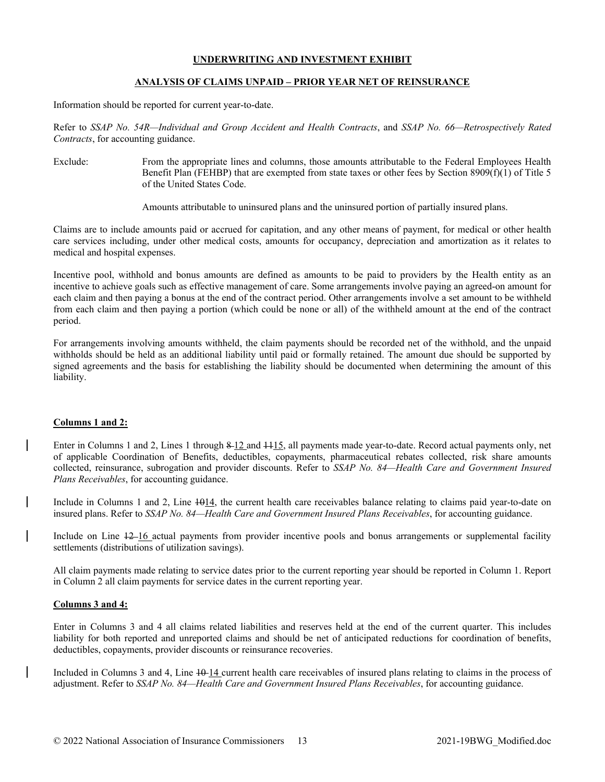## **ANALYSIS OF CLAIMS UNPAID – PRIOR YEAR NET OF REINSURANCE**

Information should be reported for current year-to-date.

Refer to *SSAP No. 54R—Individual and Group Accident and Health Contracts*, and *SSAP No. 66—Retrospectively Rated Contracts*, for accounting guidance.

Exclude: From the appropriate lines and columns, those amounts attributable to the Federal Employees Health Benefit Plan (FEHBP) that are exempted from state taxes or other fees by Section 8909(f)(1) of Title 5 of the United States Code.

Amounts attributable to uninsured plans and the uninsured portion of partially insured plans.

Claims are to include amounts paid or accrued for capitation, and any other means of payment, for medical or other health care services including, under other medical costs, amounts for occupancy, depreciation and amortization as it relates to medical and hospital expenses.

Incentive pool, withhold and bonus amounts are defined as amounts to be paid to providers by the Health entity as an incentive to achieve goals such as effective management of care. Some arrangements involve paying an agreed-on amount for each claim and then paying a bonus at the end of the contract period. Other arrangements involve a set amount to be withheld from each claim and then paying a portion (which could be none or all) of the withheld amount at the end of the contract period.

For arrangements involving amounts withheld, the claim payments should be recorded net of the withhold, and the unpaid withholds should be held as an additional liability until paid or formally retained. The amount due should be supported by signed agreements and the basis for establishing the liability should be documented when determining the amount of this liability.

## **Columns 1 and 2:**

Enter in Columns 1 and 2, Lines 1 through 8-12 and 4415, all payments made year-to-date. Record actual payments only, net of applicable Coordination of Benefits, deductibles, copayments, pharmaceutical rebates collected, risk share amounts collected, reinsurance, subrogation and provider discounts. Refer to *SSAP No. 84—Health Care and Government Insured Plans Receivables*, for accounting guidance.

Include in Columns 1 and 2, Line  $+0.14$ , the current health care receivables balance relating to claims paid year-to-date on insured plans. Refer to *SSAP No. 84—Health Care and Government Insured Plans Receivables*, for accounting guidance.

Include on Line 12 16 actual payments from provider incentive pools and bonus arrangements or supplemental facility settlements (distributions of utilization savings).

All claim payments made relating to service dates prior to the current reporting year should be reported in Column 1. Report in Column 2 all claim payments for service dates in the current reporting year.

#### **Columns 3 and 4:**

Enter in Columns 3 and 4 all claims related liabilities and reserves held at the end of the current quarter. This includes liability for both reported and unreported claims and should be net of anticipated reductions for coordination of benefits, deductibles, copayments, provider discounts or reinsurance recoveries.

Included in Columns 3 and 4, Line  $10-14$  current health care receivables of insured plans relating to claims in the process of adjustment. Refer to *SSAP No. 84—Health Care and Government Insured Plans Receivables*, for accounting guidance.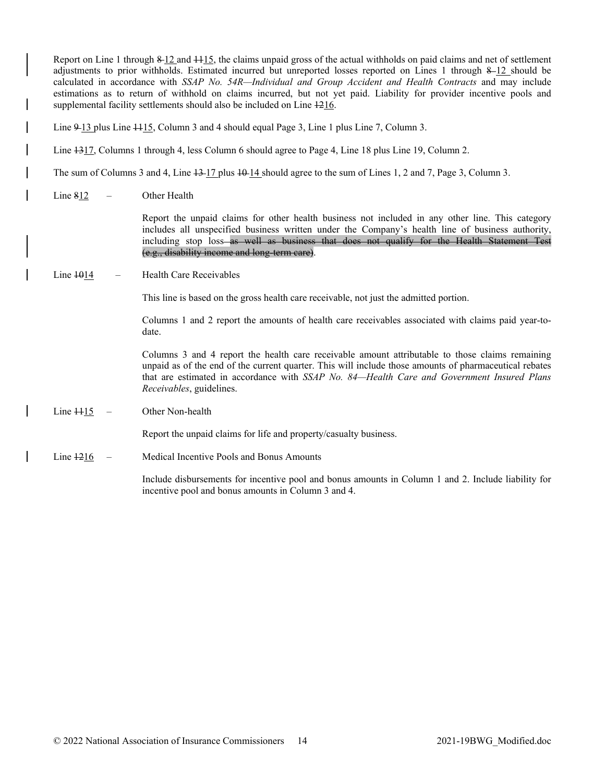Report on Line 1 through 8 12 and 1115, the claims unpaid gross of the actual withholds on paid claims and net of settlement adjustments to prior withholds. Estimated incurred but unreported losses reported on Lines 1 through  $8-12$  should be calculated in accordance with *SSAP No. 54R—Individual and Group Accident and Health Contracts* and may include estimations as to return of withhold on claims incurred, but not yet paid. Liability for provider incentive pools and supplemental facility settlements should also be included on Line 1216. Line 9-13 plus Line 4415, Column 3 and 4 should equal Page 3, Line 1 plus Line 7, Column 3. Line  $\frac{1317}{2}$ , Columns 1 through 4, less Column 6 should agree to Page 4, Line 18 plus Line 19, Column 2. The sum of Columns 3 and 4, Line  $\frac{13 \cdot 17}{2}$  plus  $\frac{10 \cdot 14}{2}$  should agree to the sum of Lines 1, 2 and 7, Page 3, Column 3. Line  $812$  – Other Health Report the unpaid claims for other health business not included in any other line. This category includes all unspecified business written under the Company's health line of business authority, including stop loss as well as business that does not qualify for the Health Statement Test (e.g., disability income and long-term care).  $Line$   $+014$  – Health Care Receivables This line is based on the gross health care receivable, not just the admitted portion. Columns 1 and 2 report the amounts of health care receivables associated with claims paid year-todate. Columns 3 and 4 report the health care receivable amount attributable to those claims remaining unpaid as of the end of the current quarter. This will include those amounts of pharmaceutical rebates that are estimated in accordance with *SSAP No. 84—Health Care and Government Insured Plans Receivables*, guidelines.  $Line H15$  – Other Non-health Report the unpaid claims for life and property/casualty business. Line 1216 – Medical Incentive Pools and Bonus Amounts Include disbursements for incentive pool and bonus amounts in Column 1 and 2. Include liability for incentive pool and bonus amounts in Column 3 and 4.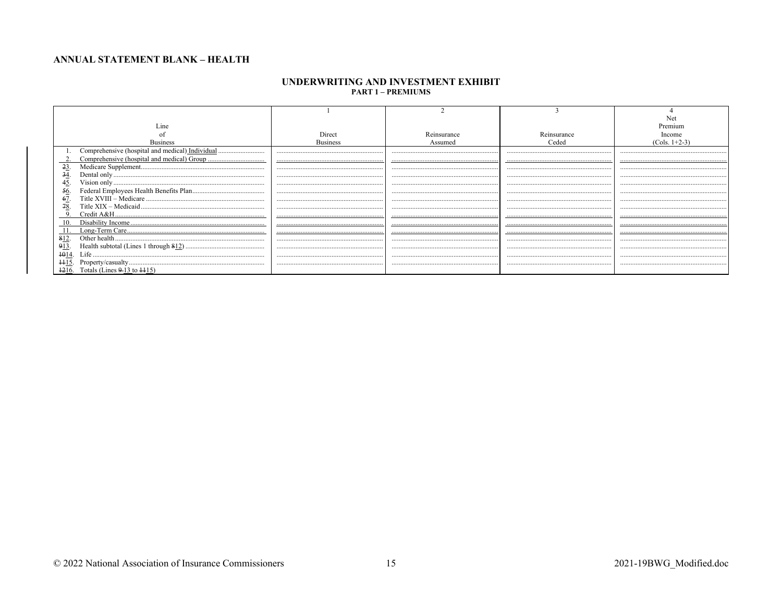## **ANNUAL STATEMENT BLANK - HEALTH**

#### UNDERWRITING AND INVESTMENT EXHIBIT **PART 1 - PREMIUMS**

| Line                                            |                 |             |             |                 |  |  |
|-------------------------------------------------|-----------------|-------------|-------------|-----------------|--|--|
|                                                 |                 | Reinsurance | Reinsurance |                 |  |  |
| <b>Business</b>                                 | <b>Business</b> | Assumed     | Ceded       | $(Cols. 1+2-3)$ |  |  |
| Comprehensive (hospital and medical) Individual |                 |             |             |                 |  |  |
|                                                 |                 |             |             |                 |  |  |
| $-23$                                           |                 |             |             |                 |  |  |
| 34                                              |                 |             |             |                 |  |  |
| 45                                              |                 |             |             |                 |  |  |
| 56.                                             |                 |             |             |                 |  |  |
| 67                                              |                 |             |             |                 |  |  |
| 78.                                             |                 |             |             |                 |  |  |
|                                                 |                 |             |             |                 |  |  |
| 10.                                             |                 |             |             |                 |  |  |
|                                                 |                 |             |             |                 |  |  |
| 812                                             |                 |             |             |                 |  |  |
| 913                                             |                 |             |             |                 |  |  |
|                                                 |                 |             |             |                 |  |  |
|                                                 |                 |             |             |                 |  |  |
| $+216.$<br>Totals (Lines $9-13$ to $115$ )      |                 |             |             |                 |  |  |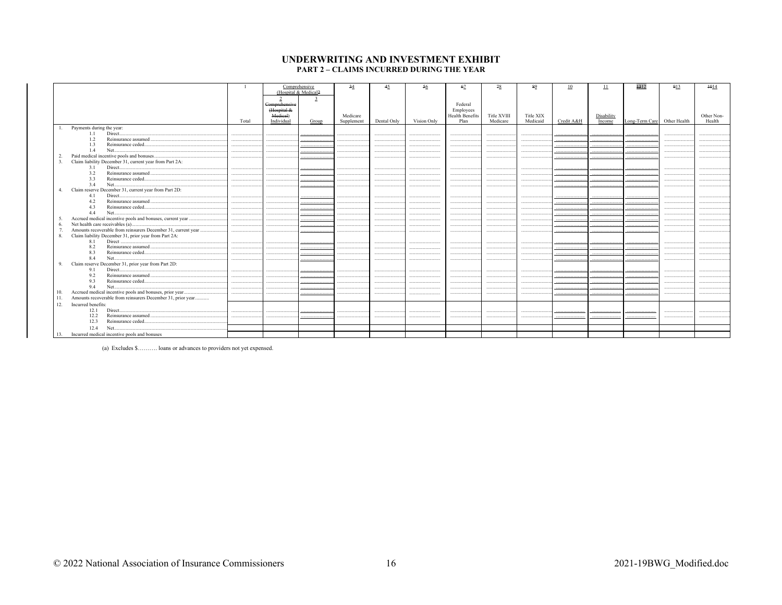#### UNDERWRITING AND INVESTMENT EXHIBIT **PART 2 - CLAIMS INCURRED DURING THE YEAR**

|                  |                                                             |       |                                                       | Comprehensive<br>(Hospital & Medical2 | 34                     | 45          | 56          | 67                                              | 78                      | 89                    | 10         | 11                   | 4312                        | 913 | 4014                 |
|------------------|-------------------------------------------------------------|-------|-------------------------------------------------------|---------------------------------------|------------------------|-------------|-------------|-------------------------------------------------|-------------------------|-----------------------|------------|----------------------|-----------------------------|-----|----------------------|
|                  |                                                             | Total | Comprehensive<br>Hospital &<br>Medieal)<br>Individual | Group                                 | Medicare<br>Supplement | Dental Only | Vision Only | Federal<br>Employees<br>Health Benefits<br>Plan | Title XVIII<br>Medicare | Title XIX<br>Medicaid | Credit A&H | Disability<br>Income | Long-Term Care Other Health |     | Other Non-<br>Health |
|                  | Payments during the year:                                   |       |                                                       |                                       |                        |             |             |                                                 |                         |                       |            |                      |                             |     |                      |
|                  | Direct<br>1.1                                               |       |                                                       |                                       |                        |             |             |                                                 |                         |                       |            |                      |                             |     |                      |
|                  | Reinsurance assumed<br>1.2                                  |       |                                                       |                                       |                        |             |             |                                                 |                         |                       |            |                      |                             |     |                      |
|                  | 1.3<br>Reinsurance ceded                                    |       |                                                       |                                       |                        |             |             |                                                 |                         |                       |            |                      |                             |     |                      |
|                  | 1.4<br>Net                                                  |       |                                                       |                                       |                        |             |             |                                                 |                         |                       |            |                      |                             |     |                      |
| $\overline{2}$   | Paid medical incentive pools and bonuses                    |       |                                                       |                                       |                        |             |             |                                                 |                         |                       |            |                      |                             |     |                      |
| 3.               | Claim liability December 31, current year from Part 2A:     |       |                                                       |                                       |                        |             |             |                                                 |                         |                       |            |                      |                             |     |                      |
|                  | 3.1                                                         |       |                                                       |                                       |                        |             |             |                                                 |                         |                       |            |                      |                             |     |                      |
|                  | 3.2                                                         | .     | .                                                     |                                       |                        |             |             |                                                 |                         |                       |            |                      |                             |     |                      |
|                  | 3.3                                                         |       |                                                       |                                       |                        |             |             |                                                 |                         |                       |            |                      |                             |     |                      |
|                  | 3.4                                                         |       |                                                       |                                       |                        |             |             |                                                 |                         |                       |            |                      |                             |     |                      |
| $\overline{4}$ . | Claim reserve December 31, current year from Part 2D:       |       |                                                       |                                       |                        |             |             |                                                 |                         |                       |            |                      |                             |     |                      |
|                  | 4.1<br>Direct                                               |       |                                                       |                                       |                        |             |             |                                                 |                         |                       |            |                      |                             |     |                      |
|                  | 4.2<br>4.3                                                  | .     |                                                       |                                       |                        |             |             |                                                 |                         |                       |            |                      |                             |     |                      |
|                  | 4.4<br>Net                                                  |       |                                                       |                                       |                        |             |             |                                                 |                         |                       |            |                      |                             |     |                      |
| -5.              |                                                             | .     |                                                       |                                       |                        |             |             |                                                 |                         |                       |            |                      |                             |     |                      |
| 6.               |                                                             |       |                                                       |                                       |                        |             |             |                                                 |                         |                       |            |                      |                             |     |                      |
|                  |                                                             |       |                                                       |                                       |                        |             |             |                                                 |                         |                       |            |                      |                             |     |                      |
| -8.              | Claim liability December 31, prior year from Part 2A:       |       |                                                       |                                       |                        |             |             |                                                 |                         |                       |            |                      |                             |     |                      |
|                  | 8.1                                                         |       |                                                       |                                       |                        |             |             |                                                 |                         |                       |            |                      |                             |     |                      |
|                  | 8.2                                                         |       |                                                       |                                       |                        |             |             |                                                 |                         |                       |            |                      |                             |     |                      |
|                  | 8.3                                                         |       |                                                       |                                       |                        |             |             |                                                 |                         |                       |            |                      |                             |     |                      |
|                  | Net<br>8.4                                                  |       |                                                       |                                       |                        |             |             |                                                 |                         |                       |            |                      |                             |     |                      |
| 9.               | Claim reserve December 31, prior year from Part 2D:         |       |                                                       |                                       |                        |             |             |                                                 |                         |                       |            |                      |                             |     |                      |
|                  | 9.1<br>Direct                                               |       |                                                       |                                       |                        |             |             |                                                 |                         |                       |            |                      |                             |     |                      |
|                  | 9.2                                                         |       |                                                       |                                       |                        |             |             |                                                 |                         |                       |            |                      |                             |     |                      |
|                  | 9.3                                                         |       |                                                       |                                       |                        |             |             |                                                 |                         |                       |            |                      |                             |     |                      |
|                  | 9.4<br>Net                                                  |       |                                                       |                                       |                        |             |             |                                                 |                         |                       |            |                      |                             |     |                      |
| 10.              | Accrued medical incentive pools and bonuses, prior year     |       |                                                       |                                       |                        |             |             |                                                 |                         |                       |            |                      |                             |     |                      |
| 11.              | Amounts recoverable from reinsurers December 31, prior year |       |                                                       |                                       |                        |             |             |                                                 |                         |                       |            |                      |                             |     |                      |
| 12.              | Incurred benefits:                                          |       |                                                       |                                       |                        |             |             |                                                 |                         |                       |            |                      |                             |     |                      |
|                  | 12.1                                                        |       |                                                       |                                       |                        |             |             |                                                 |                         |                       |            |                      |                             |     |                      |
|                  | 12.2                                                        |       |                                                       |                                       |                        |             |             |                                                 |                         |                       |            |                      |                             |     |                      |
|                  | 12.3<br>Reinsurance ceded                                   |       |                                                       |                                       |                        |             |             |                                                 |                         |                       |            |                      |                             |     |                      |
|                  | Net<br>12.4                                                 |       |                                                       |                                       |                        |             |             |                                                 |                         |                       |            |                      |                             |     |                      |
| 13.              | Incurred medical incentive pools and bonuses                |       |                                                       |                                       |                        |             |             |                                                 |                         |                       |            |                      |                             |     |                      |

(a) Excludes \$.......... loans or advances to providers not yet expensed.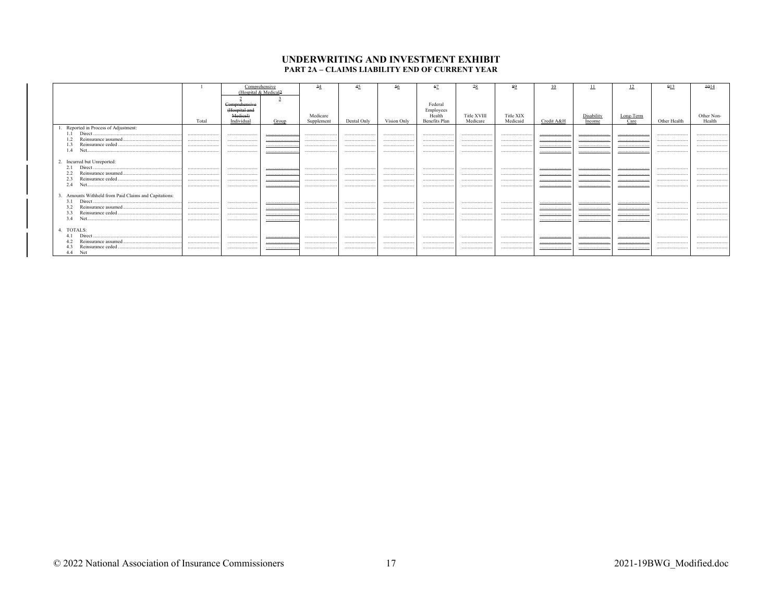#### UNDERWRITING AND INVESTMENT EXHIBIT PART 2A - CLAIMS LIABILITY END OF CURRENT YEAR

|                                                       |       |                  | Comprehensive<br>(Hospital & Medical2 |            | 45          | 56          |               | 78          | 89        |            |            | 12        | 913          | 1014       |
|-------------------------------------------------------|-------|------------------|---------------------------------------|------------|-------------|-------------|---------------|-------------|-----------|------------|------------|-----------|--------------|------------|
|                                                       |       |                  |                                       |            |             |             |               |             |           |            |            |           |              |            |
|                                                       |       | Comprehensive    |                                       |            |             |             | Federal       |             |           |            |            |           |              |            |
|                                                       |       | (Hospital and    |                                       |            |             |             | Employees     |             |           |            |            |           |              |            |
|                                                       |       | <b>Medical</b> ) |                                       | Medicare   |             |             | Health        | Title XVIII | Title XIX |            | Disability | Long-Term |              | Other Non- |
|                                                       | Total | Individual       | Group                                 | Supplement | Dental Only | Vision Only | Benefits Plan | Medicare    | Medicaid  | Credit A&H | Income     | Care      | Other Health | Health     |
| 1. Reported in Process of Adjustment:                 |       |                  |                                       |            |             |             |               |             |           |            |            |           |              |            |
| 1.1                                                   |       |                  |                                       |            |             |             |               |             |           |            |            |           |              |            |
| 1.2                                                   |       |                  |                                       | .          |             | .           | .             |             |           |            |            | .         |              |            |
|                                                       |       |                  |                                       |            |             |             |               |             |           |            |            |           |              |            |
| 1.4                                                   |       |                  |                                       |            |             |             |               |             |           |            |            |           |              |            |
| 2. Incurred but Unreported:                           |       |                  |                                       |            |             |             |               |             |           |            |            |           |              |            |
| 2.1                                                   |       |                  |                                       |            |             |             | .             |             |           |            |            |           |              |            |
| 2.2                                                   |       |                  |                                       |            |             |             |               |             |           |            |            |           |              |            |
| 2.3                                                   |       |                  |                                       |            |             |             |               | .           |           |            |            |           |              |            |
| 2.4                                                   |       |                  |                                       |            |             |             |               |             |           |            |            |           |              |            |
| 3. Amounts Withheld from Paid Claims and Capitations: |       |                  |                                       |            |             |             |               |             |           |            |            |           |              |            |
| 3.1                                                   |       |                  |                                       |            |             |             |               |             |           |            |            |           |              |            |
| 3.2                                                   |       |                  |                                       |            |             |             |               |             |           |            |            |           |              |            |
| 3.3                                                   |       |                  |                                       |            |             |             |               |             |           |            |            |           |              |            |
| 34                                                    |       |                  |                                       |            |             |             |               |             |           |            |            |           |              |            |
| 4. TOTALS:                                            |       |                  |                                       |            |             |             |               |             |           |            |            |           |              |            |
|                                                       |       |                  |                                       |            |             |             |               |             |           |            |            |           |              |            |
|                                                       |       |                  |                                       |            |             |             |               |             |           |            |            |           |              |            |
|                                                       |       |                  |                                       |            |             |             |               |             |           |            |            |           |              |            |
| 4.4 Net                                               |       |                  |                                       |            |             |             |               |             |           |            |            |           |              |            |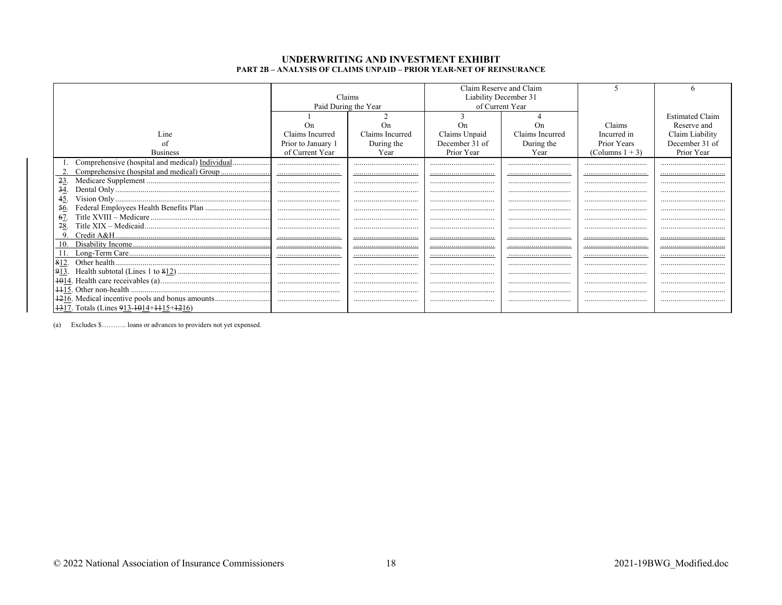#### UNDERWRITING AND INVESTMENT EXHIBIT PART 2B - ANALYSIS OF CLAIMS UNPAID - PRIOR YEAR-NET OF REINSURANCE

|                                                                      |                    | Claims               |                | Claim Reserve and Claim<br>Liability December 31 |                    |                        |
|----------------------------------------------------------------------|--------------------|----------------------|----------------|--------------------------------------------------|--------------------|------------------------|
|                                                                      |                    | Paid During the Year |                | of Current Year                                  |                    |                        |
|                                                                      |                    |                      |                |                                                  |                    | <b>Estimated Claim</b> |
|                                                                      | $_{\rm On}$        | On                   | On             | On                                               | Claims             | Reserve and            |
| Line                                                                 | Claims Incurred    | Claims Incurred      | Claims Unpaid  | Claims Incurred                                  | Incurred in        | Claim Liability        |
| οt                                                                   | Prior to January 1 | During the           | December 31 of | During the                                       | Prior Years        | December 31 of         |
| <b>Business</b>                                                      | of Current Year    | Year                 | Prior Year     | Year                                             | (Columns $1 + 3$ ) | Prior Year             |
|                                                                      |                    |                      |                |                                                  |                    |                        |
|                                                                      |                    |                      |                |                                                  |                    |                        |
| 23.                                                                  |                    |                      |                |                                                  |                    |                        |
| 34                                                                   |                    |                      |                |                                                  |                    |                        |
| 45.                                                                  |                    |                      |                |                                                  |                    |                        |
| 56.                                                                  |                    |                      |                |                                                  |                    |                        |
| 67.                                                                  |                    |                      |                |                                                  |                    |                        |
| 78.                                                                  |                    |                      |                |                                                  |                    |                        |
|                                                                      |                    |                      |                |                                                  |                    |                        |
|                                                                      |                    |                      |                |                                                  |                    |                        |
|                                                                      |                    |                      |                |                                                  |                    |                        |
| 812.<br>913.                                                         |                    |                      |                |                                                  |                    |                        |
|                                                                      |                    |                      |                |                                                  |                    |                        |
|                                                                      |                    |                      |                |                                                  |                    |                        |
| 1216. Medical incentive pools and bonus amounts                      |                    |                      |                |                                                  |                    |                        |
| $\left  \frac{1317}{1317} \right $ Totals (Lines 913-1014+1115+1216) |                    |                      |                |                                                  |                    |                        |
|                                                                      |                    |                      |                |                                                  |                    |                        |

(a) Excludes \$........... loans or advances to providers not yet expensed.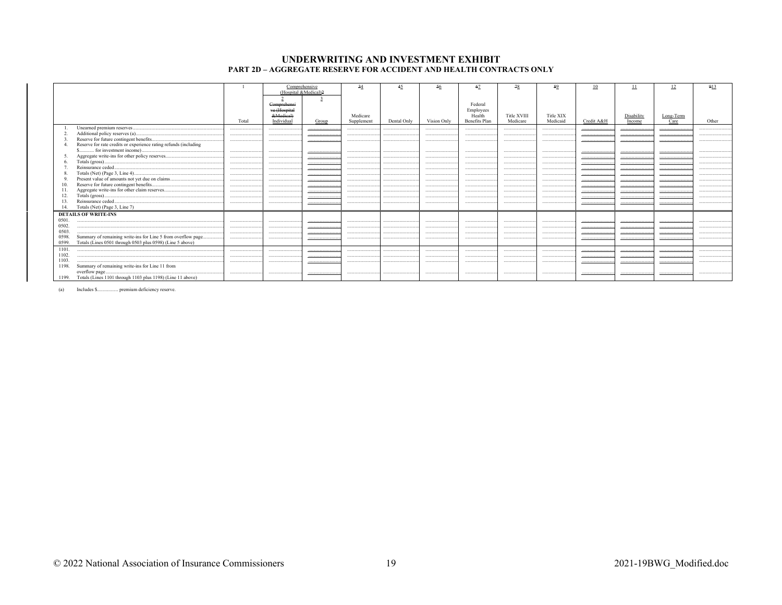#### UNDERWRITING AND INVESTMENT EXHIBIT PART 2D - AGGREGATE RESERVE FOR ACCIDENT AND HEALTH CONTRACTS ONLY

|       |                                                                          |       |                           | Comprehensive | 34                     | 45          | 56          | 67                  | 78                      | 89                    | 10         | -11                  | 12                                                                    | 913   |
|-------|--------------------------------------------------------------------------|-------|---------------------------|---------------|------------------------|-------------|-------------|---------------------|-------------------------|-----------------------|------------|----------------------|-----------------------------------------------------------------------|-------|
|       |                                                                          |       | (Hospital &Medical)2      |               |                        |             |             |                     |                         |                       |            |                      |                                                                       |       |
|       |                                                                          |       |                           |               |                        |             |             |                     |                         |                       |            |                      |                                                                       |       |
|       |                                                                          |       | Comprehensi               |               |                        |             |             | Federal             |                         |                       |            |                      |                                                                       |       |
|       |                                                                          |       | ve (Hospital<br>&Medical) |               |                        |             |             | Employees<br>Health |                         |                       |            |                      |                                                                       |       |
|       |                                                                          | Total | Individual                | Group         | Medicare<br>Supplement | Dental Only | Vision Only | Benefits Plan       | Title XVIII<br>Medicare | Title XIX<br>Medicaid | Credit A&H | Disability<br>Income | $\underbrace{\underline{\hbox{Long-Term}}}_{\underline{\hbox{Care}}}$ | Other |
|       |                                                                          |       |                           |               |                        |             |             |                     |                         |                       |            |                      |                                                                       |       |
|       |                                                                          |       |                           |               |                        |             |             |                     |                         |                       |            |                      |                                                                       |       |
|       | Additional policy reserves (a)<br>Reserve for future contingent benefits |       |                           |               |                        |             |             |                     |                         |                       |            |                      |                                                                       |       |
|       | Reserve for rate credits or experience rating refunds (including         |       |                           |               |                        |             |             |                     |                         |                       |            |                      |                                                                       |       |
|       | \$ for investment income)                                                |       |                           |               |                        |             |             |                     |                         |                       |            |                      |                                                                       |       |
|       |                                                                          |       |                           |               |                        |             |             |                     |                         |                       |            |                      |                                                                       |       |
|       |                                                                          |       |                           |               |                        |             |             |                     |                         |                       |            |                      |                                                                       |       |
|       |                                                                          |       |                           |               |                        |             |             |                     |                         |                       |            |                      |                                                                       |       |
|       |                                                                          |       |                           |               |                        |             |             |                     |                         |                       |            |                      |                                                                       |       |
|       |                                                                          | .     |                           |               |                        |             |             |                     |                         |                       |            |                      |                                                                       |       |
|       | Reserve for future contingent benefits                                   |       |                           |               |                        |             |             |                     |                         |                       |            |                      |                                                                       |       |
|       |                                                                          |       |                           |               |                        |             |             |                     |                         |                       |            |                      |                                                                       |       |
|       |                                                                          |       |                           |               |                        |             |             |                     |                         |                       |            |                      |                                                                       |       |
|       | Reinsurance ceded                                                        |       |                           |               |                        |             |             |                     |                         |                       |            |                      |                                                                       |       |
|       | Totals (Net) (Page 3, Line 7)                                            |       |                           |               |                        |             |             |                     |                         |                       |            |                      |                                                                       |       |
|       | <b>DETAILS OF WRITE-INS</b>                                              |       |                           |               |                        |             |             |                     |                         |                       |            |                      |                                                                       |       |
| 0501. |                                                                          |       |                           |               |                        |             |             |                     |                         |                       |            |                      |                                                                       |       |
| 0502  |                                                                          |       |                           |               |                        |             |             |                     |                         |                       |            |                      |                                                                       |       |
| 0503  |                                                                          |       |                           |               |                        |             |             |                     |                         |                       |            |                      |                                                                       |       |
| 0598. | Summary of remaining write-ins for Line 5 from overflow page             |       |                           |               |                        |             |             |                     |                         |                       |            |                      |                                                                       |       |
| 0599. | Totals (Lines 0501 through 0503 plus 0598) (Line 5 above)                |       |                           |               |                        |             |             |                     |                         |                       |            |                      |                                                                       |       |
| 1101  |                                                                          |       |                           |               |                        |             |             |                     |                         |                       |            |                      |                                                                       |       |
| 1102. |                                                                          |       |                           |               |                        |             |             |                     |                         |                       |            |                      |                                                                       |       |
| 1103. |                                                                          |       |                           |               |                        |             |             |                     |                         |                       |            |                      |                                                                       |       |
| 1198. | Summary of remaining write-ins for Line 11 from                          |       |                           |               |                        |             |             |                     |                         |                       |            |                      |                                                                       |       |
|       | overflow page                                                            |       |                           |               |                        |             |             |                     |                         |                       |            |                      |                                                                       |       |
|       | 1199. Totals (Lines 1101 through 1103 plus 1198) (Line 11 above)         |       |                           |               |                        |             |             |                     |                         |                       |            |                      |                                                                       |       |

 $(a)$ Includes \$................. premium deficiency reserve.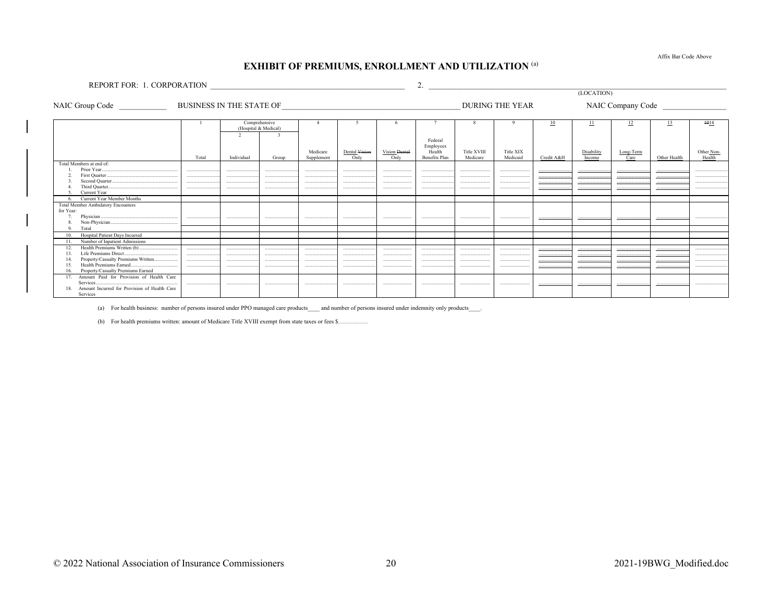Affix Bar Code Above

# **EXHIBIT OF PREMIUMS, ENROLLMENT AND UTILIZATION (a)**

REPORT FOR: 1. CORPORATION  $\qquad \qquad \qquad$  2.

NAIC Company Code

|                                                               |       | Comprehensive<br>(Hospital & Medical) |       |            |               |               |               |             |           | 10         | П          | 12        | 13           | 4014       |
|---------------------------------------------------------------|-------|---------------------------------------|-------|------------|---------------|---------------|---------------|-------------|-----------|------------|------------|-----------|--------------|------------|
|                                                               |       |                                       |       |            |               |               |               |             |           |            |            |           |              |            |
|                                                               |       |                                       |       |            |               |               | Federal       |             |           |            |            |           |              |            |
|                                                               |       |                                       |       |            |               |               | Employees     |             |           |            |            |           |              |            |
|                                                               |       |                                       |       | Medicare   | Dental Vision | Vision Dental | Health        | Title XVIII | Title XIX |            | Disability | Long-Term |              | Other Non- |
|                                                               | Total | Individual                            | Group | Supplement | Only          | Only          | Benefits Plan | Medicare    | Medicaid  | Credit A&H | Income     | Care      | Other Health | Health     |
| Total Members at end of:                                      |       |                                       |       |            |               |               |               |             |           |            |            |           |              |            |
|                                                               |       |                                       |       |            |               |               |               |             |           |            |            |           |              |            |
|                                                               |       |                                       |       |            |               |               |               |             |           |            |            |           |              |            |
|                                                               |       |                                       |       |            |               |               |               |             |           |            |            |           |              |            |
| Current Year                                                  |       |                                       |       |            |               |               |               |             |           |            |            |           |              |            |
| Current Year Member Months                                    |       |                                       |       |            |               |               |               |             |           |            |            |           |              |            |
| <b>Total Member Ambulatory Encounters</b>                     |       |                                       |       |            |               |               |               |             |           |            |            |           |              |            |
| for Year:                                                     |       |                                       |       |            |               |               |               |             |           |            |            |           |              |            |
|                                                               | .     |                                       |       |            |               |               |               |             |           |            |            |           |              |            |
|                                                               |       |                                       |       |            |               |               |               |             |           |            |            |           |              |            |
| Total                                                         |       |                                       |       |            |               |               |               |             |           |            |            |           |              |            |
| Hospital Patient Days Incurred                                |       |                                       |       |            |               |               |               |             |           |            |            |           |              |            |
| Number of Inpatient Admissions                                |       |                                       |       |            |               |               |               |             |           |            |            |           |              |            |
|                                                               |       |                                       |       |            |               |               |               |             |           |            |            |           |              |            |
| Life Premiums Direct                                          |       |                                       |       |            |               |               |               |             |           |            |            |           |              |            |
| Property/Casualty Premiums Written<br>Health Premiums Earned. |       | .                                     |       |            |               |               |               |             |           |            | .          |           |              |            |
| Property/Casualty Premiums Earned                             |       |                                       |       |            |               |               |               |             |           |            |            |           |              |            |
| Amount Paid for Provision of Health Care                      |       |                                       |       |            |               |               |               |             |           |            |            |           |              |            |
| Services                                                      |       |                                       |       |            |               |               |               |             |           |            |            |           |              |            |
| Amount Incurred for Provision of Health Care<br>18.           |       |                                       |       |            |               |               |               |             |           |            |            |           |              |            |
| Services                                                      |       |                                       |       |            |               |               |               |             |           |            |            |           |              |            |

(a) For health business: number of persons insured under PPO managed care products\_\_\_\_ and number of persons insured under indemnity only products\_\_\_\_.

(b) For health premiums written: amount of Medicare Title XVIII exempt from state taxes or fees \$...............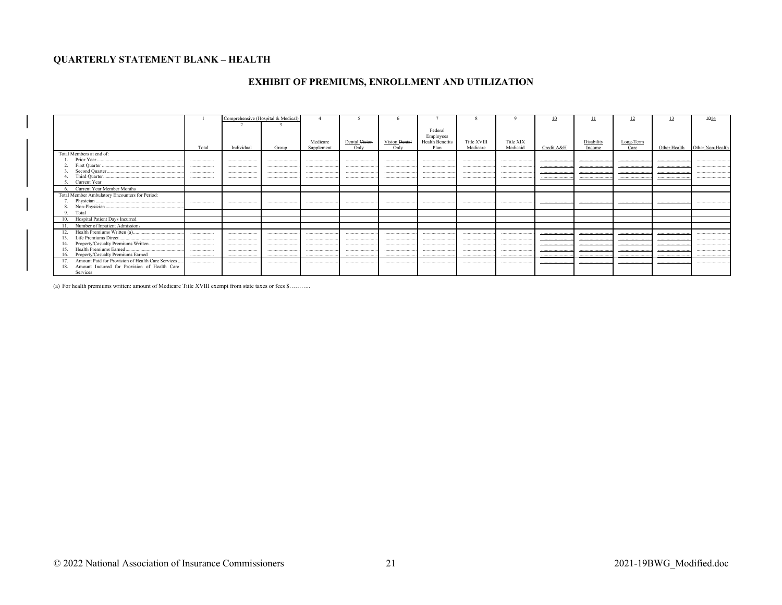## **QUARTERLY STATEMENT BLANK - HEALTH**

# EXHIBIT OF PREMIUMS, ENROLLMENT AND UTILIZATION

|                                                          |       | Comprehensive (Hospital & Medical) |       |            |               |               |                        |             |           | 10         | щ          |           |              | $+014$           |
|----------------------------------------------------------|-------|------------------------------------|-------|------------|---------------|---------------|------------------------|-------------|-----------|------------|------------|-----------|--------------|------------------|
|                                                          |       |                                    |       |            |               |               |                        |             |           |            |            |           |              |                  |
|                                                          |       |                                    |       |            |               |               | Federal                |             |           |            |            |           |              |                  |
|                                                          |       |                                    |       |            |               |               | Employees              |             |           |            |            |           |              |                  |
|                                                          |       |                                    |       | Medicare   | Dental Vision | Vision Dental | <b>Health Benefits</b> | Title XVIII | Title XIX |            | Disability | Long-Term |              |                  |
|                                                          | Total | Individual                         | Group | Supplement | Only          | Only          | Plan                   | Medicare    | Medicaid  | Credit A&H | Income     | Care      | Other Health | Other Non-Health |
| Total Members at end of:                                 |       |                                    |       |            |               |               |                        |             |           |            |            |           |              |                  |
|                                                          |       |                                    |       |            |               |               |                        |             |           |            |            |           |              |                  |
|                                                          |       |                                    |       |            |               |               |                        |             |           |            |            |           |              |                  |
|                                                          |       |                                    |       |            |               |               |                        |             |           |            |            |           |              |                  |
|                                                          |       |                                    |       |            |               |               |                        |             |           |            |            |           |              |                  |
|                                                          |       |                                    |       |            |               |               |                        |             |           |            |            |           |              |                  |
| Current Year                                             |       |                                    |       |            |               |               |                        |             |           |            |            |           |              |                  |
| Current Year Member Months                               |       |                                    |       |            |               |               |                        |             |           |            |            |           |              |                  |
| Total Member Ambulatory Encounters for Period:           |       |                                    |       |            |               |               |                        |             |           |            |            |           |              |                  |
|                                                          | .     |                                    |       |            |               |               |                        |             |           |            |            |           |              |                  |
|                                                          |       |                                    |       |            |               |               |                        |             |           |            |            |           |              |                  |
| Total<br>9.                                              |       |                                    |       |            |               |               |                        |             |           |            |            |           |              |                  |
| 10. Hospital Patient Days Incurred                       |       |                                    |       |            |               |               |                        |             |           |            |            |           |              |                  |
| 11. Number of Inpatient Admissions                       |       |                                    |       |            |               |               |                        |             |           |            |            |           |              |                  |
|                                                          |       |                                    |       |            |               |               |                        |             |           |            |            |           |              |                  |
|                                                          |       |                                    |       |            |               |               |                        |             |           |            | .          |           |              |                  |
| Life Premiums Direct.<br>13.                             |       |                                    |       |            |               |               |                        |             |           |            |            |           |              |                  |
| Property/Casualty Premiums Written                       |       |                                    |       |            |               |               |                        |             | .         |            |            |           |              |                  |
| Health Premiums Earned.<br>15.                           |       |                                    |       |            |               |               |                        |             |           |            |            |           |              |                  |
| 16. Property/Casualty Premiums Earned                    |       |                                    |       |            |               |               |                        |             |           |            |            |           |              |                  |
| Amount Paid for Provision of Health Care Services<br>17. |       |                                    |       |            |               |               |                        |             |           |            |            |           |              |                  |
| Amount Incurred for Provision of Health Care<br>18.      |       |                                    |       |            |               |               |                        |             |           |            |            |           |              |                  |
| Services                                                 |       |                                    |       |            |               |               |                        |             |           |            |            |           |              |                  |

(a) For health premiums written: amount of Medicare Title XVIII exempt from state taxes or fees \$...........